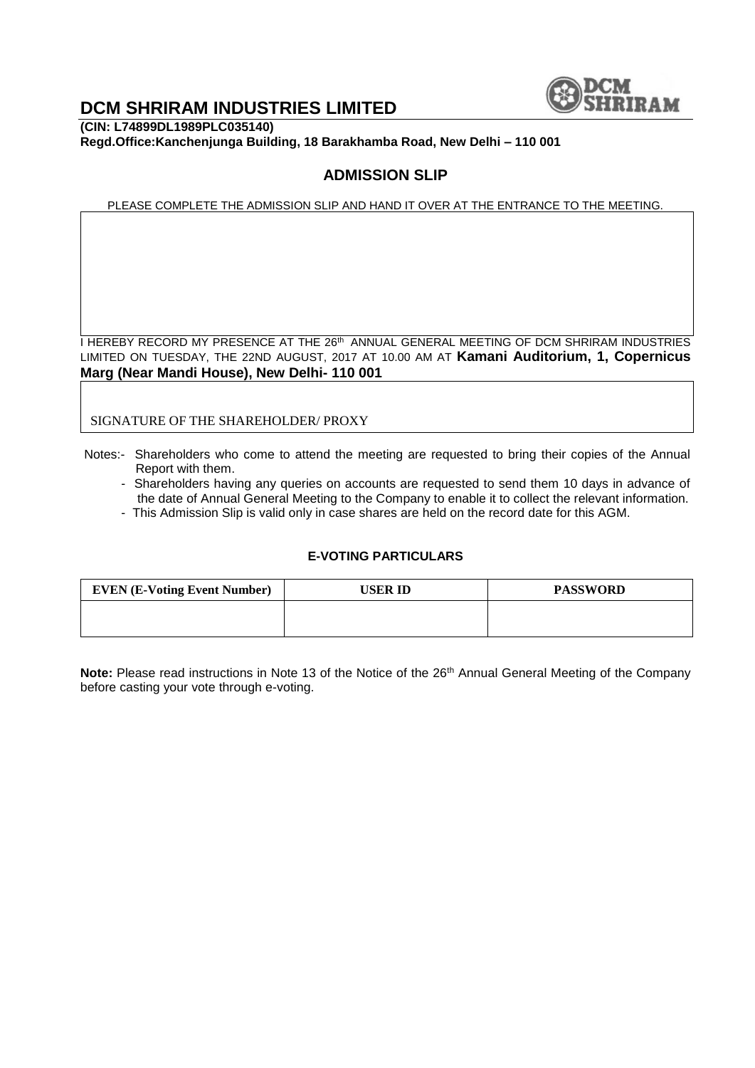

# **DCM SHRIRAM INDUSTRIES LIMITED**

**(CIN: L74899DL1989PLC035140) Regd.Office:Kanchenjunga Building, 18 Barakhamba Road, New Delhi – 110 001**

### **ADMISSION SLIP**

PLEASE COMPLETE THE ADMISSION SLIP AND HAND IT OVER AT THE ENTRANCE TO THE MEETING.

I HEREBY RECORD MY PRESENCE AT THE 26<sup>th</sup> ANNUAL GENERAL MEETING OF DCM SHRIRAM INDUSTRIES LIMITED ON TUESDAY, THE 22ND AUGUST, 2017 AT 10.00 AM AT **Kamani Auditorium, 1, Copernicus Marg (Near Mandi House), New Delhi- 110 001**

SIGNATURE OF THE SHAREHOLDER/ PROXY

- Notes:- Shareholders who come to attend the meeting are requested to bring their copies of the Annual Report with them.
	- Shareholders having any queries on accounts are requested to send them 10 days in advance of the date of Annual General Meeting to the Company to enable it to collect the relevant information.
	- This Admission Slip is valid only in case shares are held on the record date for this AGM.

#### **E-VOTING PARTICULARS**

| <b>EVEN (E-Voting Event Number)</b> | USER ID | <b>PASSWORD</b> |
|-------------------------------------|---------|-----------------|
|                                     |         |                 |
|                                     |         |                 |

Note: Please read instructions in Note 13 of the Notice of the 26<sup>th</sup> Annual General Meeting of the Company before casting your vote through e-voting.